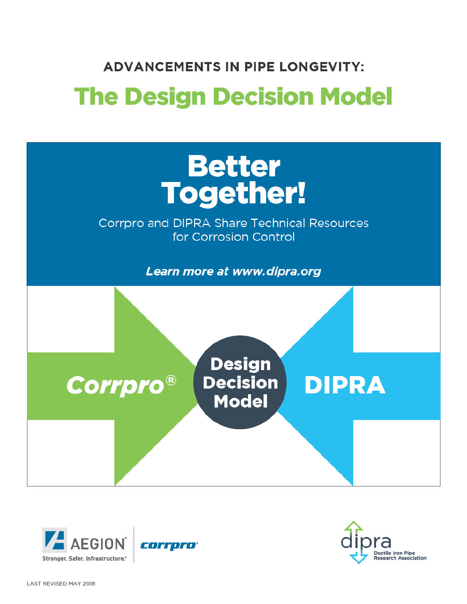# **ADVANCEMENTS IN PIPE LONGEVITY:**

# **The Design Decision Model**





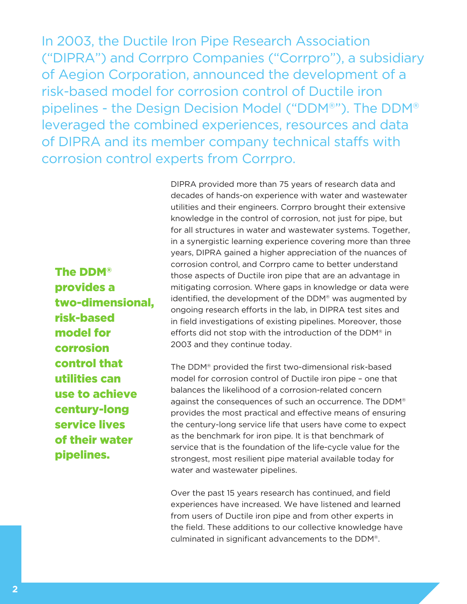In 2003, the Ductile Iron Pipe Research Association ("DIPRA") and Corrpro Companies ("Corrpro"), a subsidiary of Aegion Corporation, announced the development of a risk-based model for corrosion control of Ductile iron pipelines - the Design Decision Model ("DDM®"). The DDM® leveraged the combined experiences, resources and data of DIPRA and its member company technical staffs with corrosion control experts from Corrpro.

> DIPRA provided more than 75 years of research data and decades of hands-on experience with water and wastewater utilities and their engineers. Corrpro brought their extensive knowledge in the control of corrosion, not just for pipe, but for all structures in water and wastewater systems. Together, in a synergistic learning experience covering more than three years, DIPRA gained a higher appreciation of the nuances of corrosion control, and Corrpro came to better understand those aspects of Ductile iron pipe that are an advantage in mitigating corrosion. Where gaps in knowledge or data were identified, the development of the DDM® was augmented by ongoing research efforts in the lab, in DIPRA test sites and in field investigations of existing pipelines. Moreover, those efforts did not stop with the introduction of the DDM® in 2003 and they continue today.

The DDM® provided the first two-dimensional risk-based model for corrosion control of Ductile iron pipe – one that balances the likelihood of a corrosion-related concern against the consequences of such an occurrence. The DDM® provides the most practical and effective means of ensuring the century-long service life that users have come to expect as the benchmark for iron pipe. It is that benchmark of service that is the foundation of the life-cycle value for the strongest, most resilient pipe material available today for water and wastewater pipelines.

Over the past 15 years research has continued, and field experiences have increased. We have listened and learned from users of Ductile iron pipe and from other experts in the field. These additions to our collective knowledge have culminated in significant advancements to the DDM®.

The DDM® provides a two-dimensional, risk-based model for corrosion control that utilities can use to achieve century-long service lives of their water pipelines.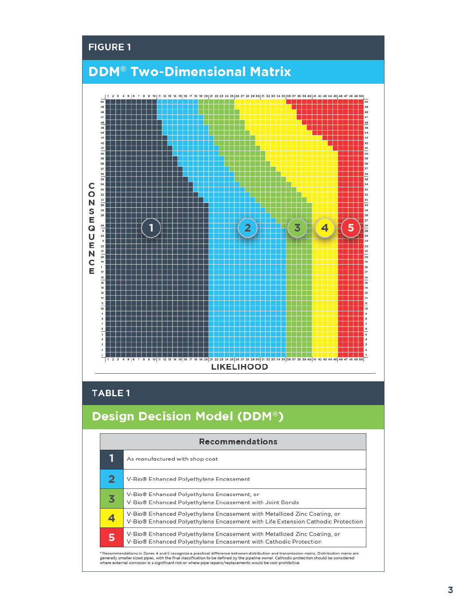

### TABLE 1

# Design Decision Model (DDM®)

| 1 | As manufactured with shop coat                                                                                                                              |
|---|-------------------------------------------------------------------------------------------------------------------------------------------------------------|
| 2 | V-Bio® Enhanced Polyethylene Encasement                                                                                                                     |
| 3 | V-Bio® Enhanced Polyethylene Encasement, or<br>V-Bio® Enhanced Polyethylene Encasement with Joint Bonds                                                     |
| 4 | V-Bio® Enhanced Polyethylene Encasement with Metallized Zinc Coating, or<br>V-Bio® Enhanced Polyethylene Encasement with Life Extension Cathodic Protection |
| 5 | V-Bio® Enhanced Polyethylene Encasement with Metallized Zinc Coating, or<br>V-Bio® Enhanced Polyethylene Encasement with Cathodic Protection                |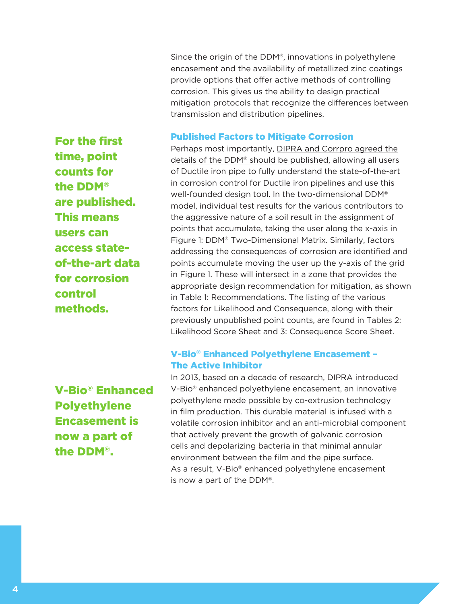Since the origin of the DDM®, innovations in polyethylene encasement and the availability of metallized zinc coatings provide options that offer active methods of controlling corrosion. This gives us the ability to design practical mitigation protocols that recognize the differences between transmission and distribution pipelines.

#### Published Factors to Mitigate Corrosion

For the first time, point counts for the DDM® are published. This means users can access stateof-the-art data for corrosion control methods.

V-Bio® Enhanced Polyethylene Encasement is now a part of the DDM®.

Perhaps most importantly, DIPRA and Corrpro agreed the details of the DDM® should be published, allowing all users of Ductile iron pipe to fully understand the state-of-the-art in corrosion control for Ductile iron pipelines and use this well-founded design tool. In the two-dimensional DDM® model, individual test results for the various contributors to the aggressive nature of a soil result in the assignment of points that accumulate, taking the user along the x-axis in Figure 1: DDM® Two-Dimensional Matrix. Similarly, factors addressing the consequences of corrosion are identified and points accumulate moving the user up the y-axis of the grid in Figure 1. These will intersect in a zone that provides the appropriate design recommendation for mitigation, as shown in Table 1: Recommendations. The listing of the various factors for Likelihood and Consequence, along with their previously unpublished point counts, are found in Tables 2: Likelihood Score Sheet and 3: Consequence Score Sheet.

#### V-Bio® Enhanced Polyethylene Encasement – The Active Inhibitor

In 2013, based on a decade of research, DIPRA introduced V-Bio® enhanced polyethylene encasement, an innovative polyethylene made possible by co-extrusion technology in film production. This durable material is infused with a volatile corrosion inhibitor and an anti-microbial component that actively prevent the growth of galvanic corrosion cells and depolarizing bacteria in that minimal annular environment between the film and the pipe surface. As a result, V-Bio® enhanced polyethylene encasement is now a part of the DDM®.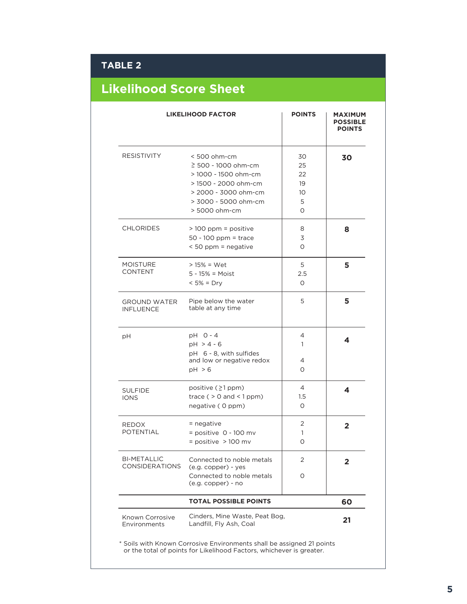## **TABLE 2**

# **Likelihood Score Sheet**

|                                             | <b>LIKELIHOOD FACTOR</b>                                                                                                                                    | <b>POINTS</b>                                     | <b>MAXIMUM</b><br><b>POSSIBLE</b><br><b>POINTS</b> |
|---------------------------------------------|-------------------------------------------------------------------------------------------------------------------------------------------------------------|---------------------------------------------------|----------------------------------------------------|
| <b>RESISTIVITY</b>                          | $< 500$ ohm-cm<br>$\geq$ 500 - 1000 ohm-cm<br>> 1000 - 1500 ohm-cm<br>> 1500 - 2000 ohm-cm<br>> 2000 - 3000 ohm-cm<br>> 3000 - 5000 ohm-cm<br>> 5000 ohm-cm | 30<br>25<br>22<br>19<br>10 <sup>°</sup><br>5<br>O | 30                                                 |
| <b>CHLORIDES</b>                            | $>100$ ppm = positive<br>$50 - 100$ ppm = trace<br>< 50 ppm = negative                                                                                      | 8<br>3<br>O                                       | 8                                                  |
| <b>MOISTURE</b><br><b>CONTENT</b>           | $> 15\% = Wet$<br>$5 - 15\% = \text{Moist}$<br>$< 5\% = Drv$                                                                                                | 5<br>2.5<br>0                                     | 5                                                  |
| <b>GROUND WATER</b><br><b>INFLUENCE</b>     | Pipe below the water<br>table at any time                                                                                                                   | 5                                                 | 5                                                  |
| pH                                          | $pH$ 0 - 4<br>$pH > 4 - 6$<br>pH 6 - 8, with sulfides<br>and low or negative redox<br>pH > 6                                                                | 4<br>1<br>4<br>O                                  | 4                                                  |
| <b>SULFIDE</b><br><b>IONS</b>               | positive (≥1 ppm)<br>trace ( $> 0$ and $< 1$ ppm)<br>negative (0 ppm)                                                                                       | 4<br>1.5<br>O                                     | 4                                                  |
| <b>REDOX</b><br><b>POTENTIAL</b>            | $=$ negative<br>$=$ positive 0 - 100 mv<br>$=$ positive > 100 mv                                                                                            | 2<br>1<br>$\Omega$                                | $\overline{\mathbf{2}}$                            |
| <b>BI-METALLIC</b><br><b>CONSIDERATIONS</b> | Connected to noble metals<br>(e.g. copper) - yes<br>Connected to noble metals<br>(e.g. copper) - no                                                         | 2<br>O                                            | $\overline{2}$                                     |
|                                             | <b>TOTAL POSSIBLE POINTS</b>                                                                                                                                |                                                   | 60                                                 |
| Known Corrosive<br>Environments             | Cinders, Mine Waste, Peat Bog,<br>Landfill, Fly Ash, Coal                                                                                                   |                                                   | 21                                                 |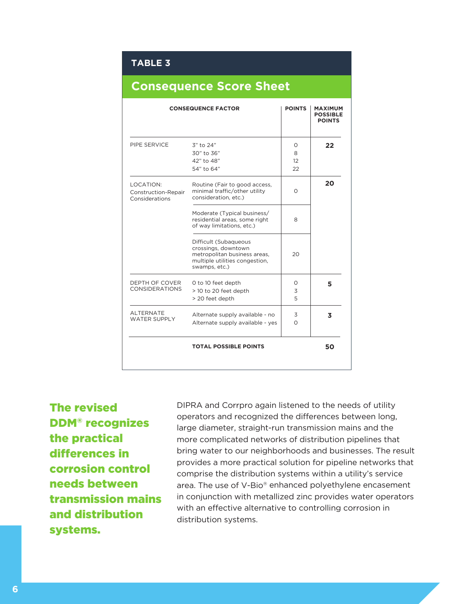#### **TABLE 3**

|                                                    | <b>CONSEQUENCE FACTOR</b>                                                                                                       | <b>POINTS</b>            | <b>MAXIMUM</b><br><b>POSSIBLE</b><br><b>POINTS</b> |
|----------------------------------------------------|---------------------------------------------------------------------------------------------------------------------------------|--------------------------|----------------------------------------------------|
| PIPE SERVICE                                       | 3" to 24"<br>30" to 36"<br>42" to 48"<br>54" to 64"                                                                             | 0<br>8<br>$12^{1}$<br>22 | 22                                                 |
| LOCATION:<br>Construction-Repair<br>Considerations | Routine (Fair to good access,<br>minimal traffic/other utility<br>consideration, etc.)                                          | $\Omega$                 | 20                                                 |
|                                                    | Moderate (Typical business/<br>residential areas, some right<br>of way limitations, etc.)                                       | 8                        |                                                    |
|                                                    | Difficult (Subaqueous<br>crossings, downtown<br>metropolitan business areas,<br>multiple utilities congestion,<br>swamps, etc.) | 20                       |                                                    |
| DEPTH OF COVER<br><b>CONSIDERATIONS</b>            | 0 to 10 feet depth<br>> 10 to 20 feet depth<br>> 20 feet depth                                                                  | O<br>3<br>5              | 5                                                  |
| <b>ALTERNATE</b><br><b>WATER SUPPLY</b>            | Alternate supply available - no<br>Alternate supply available - yes                                                             | 3<br>$\Omega$            | 3                                                  |
|                                                    | <b>TOTAL POSSIBLE POINTS</b>                                                                                                    |                          | 50                                                 |

## **Consequence Score Sheet**

The revised DDM® recognizes the practical differences in corrosion control needs between transmission mains and distribution systems.

DIPRA and Corrpro again listened to the needs of utility operators and recognized the differences between long, large diameter, straight-run transmission mains and the more complicated networks of distribution pipelines that bring water to our neighborhoods and businesses. The result provides a more practical solution for pipeline networks that comprise the distribution systems within a utility's service area. The use of V-Bio® enhanced polyethylene encasement in conjunction with metallized zinc provides water operators with an effective alternative to controlling corrosion in distribution systems.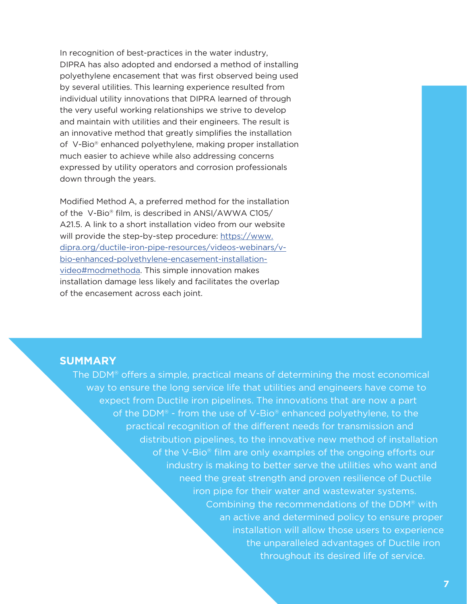In recognition of best-practices in the water industry, DIPRA has also adopted and endorsed a method of installing polyethylene encasement that was first observed being used by several utilities. This learning experience resulted from individual utility innovations that DIPRA learned of through the very useful working relationships we strive to develop and maintain with utilities and their engineers. The result is an innovative method that greatly simplifies the installation of V-Bio® enhanced polyethylene, making proper installation much easier to achieve while also addressing concerns expressed by utility operators and corrosion professionals down through the years.

Modified Method A, a preferred method for the installation of the V-Bio® film, is described in ANSI/AWWA C105/ A21.5. A link to a short installation video from our website will provide the step-by-step procedure: https://www. dipra.org/ductile-iron-pipe-resources/videos-webinars/vbio-enhanced-polyethylene-encasement-installationvideo#modmethoda. This simple innovation makes installation damage less likely and facilitates the overlap of the encasement across each joint.

#### **SUMMARY**

The DDM® offers a simple, practical means of determining the most economical way to ensure the long service life that utilities and engineers have come to expect from Ductile iron pipelines. The innovations that are now a part of the DDM® - from the use of V-Bio® enhanced polyethylene, to the practical recognition of the different needs for transmission and distribution pipelines, to the innovative new method of installation of the V-Bio® film are only examples of the ongoing efforts our industry is making to better serve the utilities who want and need the great strength and proven resilience of Ductile iron pipe for their water and wastewater systems. Combining the recommendations of the DDM® with an active and determined policy to ensure proper installation will allow those users to experience the unparalleled advantages of Ductile iron throughout its desired life of service.